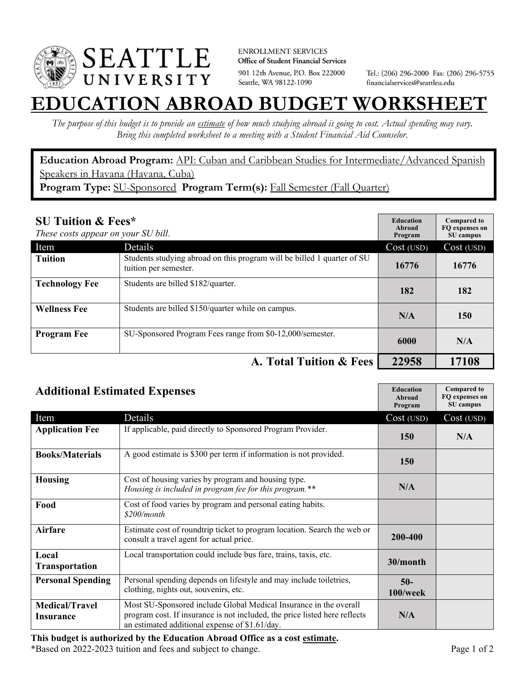

**ENROLLMENT SERVICES** Office of Student Financial Services 901 12th Avenue, P.O. Box 222000 Seattle, WA 98122-1090

Tel.: (206) 296-2000 Fax: (206) 296-5755 financialservices@seattleu.edu

## **EATION ABROAD BUDGET WORKSHEE**

*The purpose of this budget is to provide an estimate of how much studying abroad is going to cost. Actual spending may vary. Bring this completed worksheet to a meeting with a Student Financial Aid Counselor.* 

**Education Abroad Program:** API: Cuban and Caribbean Studies for Intermediate/Advanced Spanish Speakers in Havana (Havana, Cuba) Program Type: SU-Sponsored Program Term(s): Fall Semester (Fall Quarter)

| <b>SU Tuition &amp; Fees*</b><br>These costs appear on your SU bill. |                                                                                                  | <b>Education</b><br>Abroad<br>Program | <b>Compared to</b><br>FO expenses on<br>SU campus |
|----------------------------------------------------------------------|--------------------------------------------------------------------------------------------------|---------------------------------------|---------------------------------------------------|
| Item                                                                 | <b>Details</b>                                                                                   | Cost (USD)                            | Cost (USD)                                        |
| <b>Tuition</b>                                                       | Students studying abroad on this program will be billed 1 quarter of SU<br>tuition per semester. | 16776                                 | 16776                                             |
| <b>Technology Fee</b>                                                | Students are billed \$182/quarter.                                                               | 182                                   | 182                                               |
| <b>Wellness Fee</b>                                                  | Students are billed \$150/quarter while on campus.                                               | N/A                                   | 150                                               |
| <b>Program Fee</b>                                                   | SU-Sponsored Program Fees range from \$0-12,000/semester.                                        | 6000                                  | N/A                                               |
|                                                                      | A. Total Tuition & Fees                                                                          | 22958                                 | 17108                                             |

| <b>Additional Estimated Expenses</b> |                                                                                                                                                                                                   | <b>Education</b><br>Abroad<br>Program | <b>Compared to</b><br>FQ expenses on<br>SU campus |
|--------------------------------------|---------------------------------------------------------------------------------------------------------------------------------------------------------------------------------------------------|---------------------------------------|---------------------------------------------------|
| Item                                 | Details                                                                                                                                                                                           | Cost (USD)                            | Cost (USD)                                        |
| <b>Application Fee</b>               | If applicable, paid directly to Sponsored Program Provider.                                                                                                                                       | 150                                   | N/A                                               |
| <b>Books/Materials</b>               | A good estimate is \$300 per term if information is not provided.                                                                                                                                 | 150                                   |                                                   |
| <b>Housing</b>                       | Cost of housing varies by program and housing type.<br>Housing is included in program fee for this program.**                                                                                     | N/A                                   |                                                   |
| Food                                 | Cost of food varies by program and personal eating habits.<br>\$200/month                                                                                                                         |                                       |                                                   |
| Airfare                              | Estimate cost of roundtrip ticket to program location. Search the web or<br>consult a travel agent for actual price.                                                                              | 200-400                               |                                                   |
| Local<br><b>Transportation</b>       | Local transportation could include bus fare, trains, taxis, etc.                                                                                                                                  | 30/month                              |                                                   |
| <b>Personal Spending</b>             | Personal spending depends on lifestyle and may include toiletries,<br>clothing, nights out, souvenirs, etc.                                                                                       | $50-$<br>100/week                     |                                                   |
| <b>Medical/Travel</b><br>Insurance   | Most SU-Sponsored include Global Medical Insurance in the overall<br>program cost. If insurance is not included, the price listed here reflects<br>an estimated additional expense of \$1.61/day. | N/A                                   |                                                   |